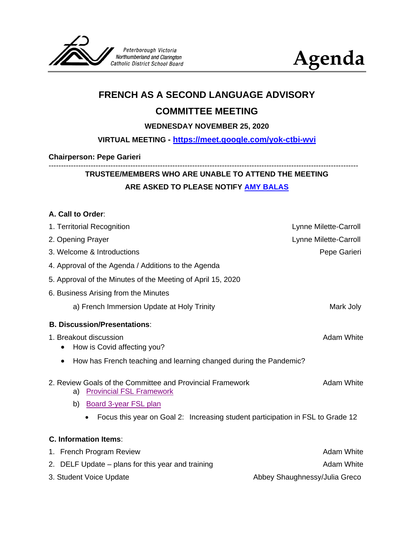



# **FRENCH AS A SECOND LANGUAGE ADVISORY**

## **COMMITTEE MEETING**

#### **WEDNESDAY NOVEMBER 25, 2020**

## **VIRTUAL MEETING - <https://meet.google.com/yok-ctbi-wvi>**

#### **Chairperson: Pepe Garieri**

# **TRUSTEE/MEMBERS WHO ARE UNABLE TO ATTEND THE MEETING ARE ASKED TO PLEASE NOTIFY [AMY BALAS](mailto:abalas@pvnccdsb.on.ca)**

-----------------------------------------------------------------------------------------------------------------------------

#### **A. Call to Order**:

| 1. Territorial Recognition                                                                         | Lynne Milette-Carroll         |
|----------------------------------------------------------------------------------------------------|-------------------------------|
| 2. Opening Prayer                                                                                  | Lynne Milette-Carroll         |
| 3. Welcome & Introductions                                                                         | Pepe Garieri                  |
| 4. Approval of the Agenda / Additions to the Agenda                                                |                               |
| 5. Approval of the Minutes of the Meeting of April 15, 2020                                        |                               |
| 6. Business Arising from the Minutes                                                               |                               |
| a) French Immersion Update at Holy Trinity                                                         | Mark Joly                     |
| <b>B. Discussion/Presentations:</b>                                                                |                               |
| 1. Breakout discussion<br>How is Covid affecting you?                                              | Adam White                    |
| How has French teaching and learning changed during the Pandemic?<br>٠                             |                               |
| 2. Review Goals of the Committee and Provincial Framework<br><b>Provincial FSL Framework</b><br>a) | <b>Adam White</b>             |
| <b>Board 3-year FSL plan</b><br>b)                                                                 |                               |
| Focus this year on Goal 2: Increasing student participation in FSL to Grade 12                     |                               |
| <b>C. Information Items:</b>                                                                       |                               |
| 1. French Program Review                                                                           | <b>Adam White</b>             |
| 2. DELF Update – plans for this year and training                                                  | <b>Adam White</b>             |
| 3. Student Voice Update                                                                            | Abbey Shaughnessy/Julia Greco |